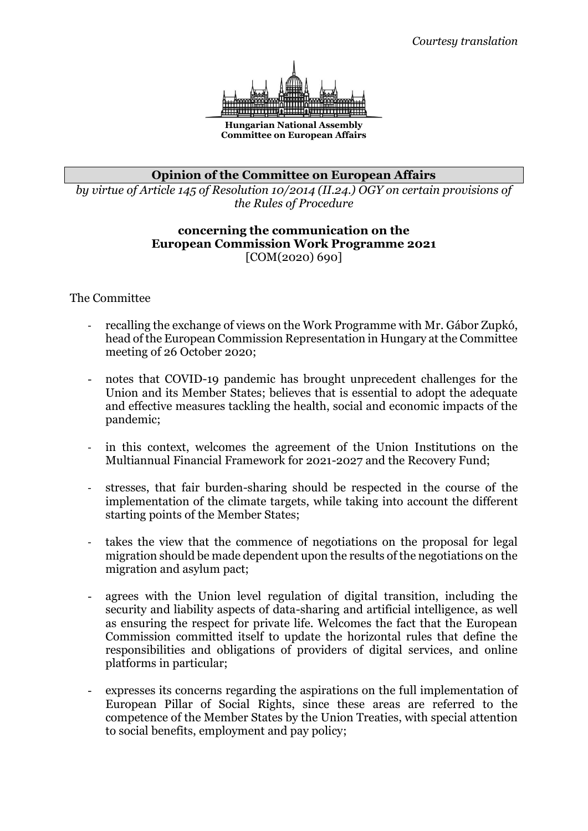

**Hungarian National Assembly Committee on European Affairs**

## **Opinion of the Committee on European Affairs**

*by virtue of Article 145 of Resolution 10/2014 (II.24.) OGY on certain provisions of the Rules of Procedure*

## **concerning the communication on the European Commission Work Programme 2021** [COM(2020) 690]

The Committee

- recalling the exchange of views on the Work Programme with Mr. Gábor Zupkó, head of the European Commission Representation in Hungary at the Committee meeting of 26 October 2020;
- notes that COVID-19 pandemic has brought unprecedent challenges for the Union and its Member States; believes that is essential to adopt the adequate and effective measures tackling the health, social and economic impacts of the pandemic;
- in this context, welcomes the agreement of the Union Institutions on the Multiannual Financial Framework for 2021-2027 and the Recovery Fund;
- stresses, that fair burden-sharing should be respected in the course of the implementation of the climate targets, while taking into account the different starting points of the Member States;
- takes the view that the commence of negotiations on the proposal for legal migration should be made dependent upon the results of the negotiations on the migration and asylum pact;
- agrees with the Union level regulation of digital transition, including the security and liability aspects of data-sharing and artificial intelligence, as well as ensuring the respect for private life. Welcomes the fact that the European Commission committed itself to update the horizontal rules that define the responsibilities and obligations of providers of digital services, and online platforms in particular;
- expresses its concerns regarding the aspirations on the full implementation of European Pillar of Social Rights, since these areas are referred to the competence of the Member States by the Union Treaties, with special attention to social benefits, employment and pay policy;